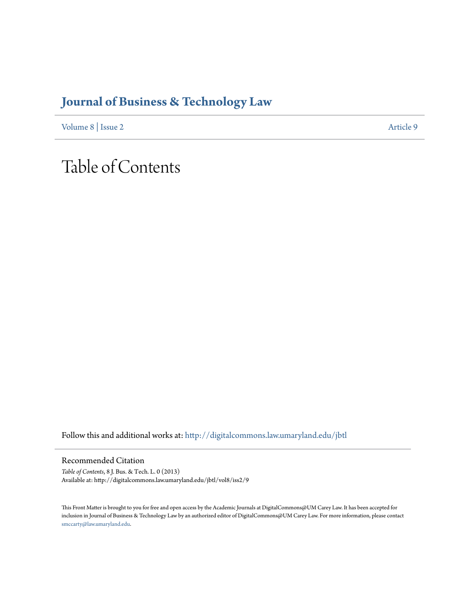## **[Journal of Business & Technology Law](http://digitalcommons.law.umaryland.edu/jbtl?utm_source=digitalcommons.law.umaryland.edu%2Fjbtl%2Fvol8%2Fiss2%2F9&utm_medium=PDF&utm_campaign=PDFCoverPages)**

[Volume 8](http://digitalcommons.law.umaryland.edu/jbtl/vol8?utm_source=digitalcommons.law.umaryland.edu%2Fjbtl%2Fvol8%2Fiss2%2F9&utm_medium=PDF&utm_campaign=PDFCoverPages) | [Issue 2](http://digitalcommons.law.umaryland.edu/jbtl/vol8/iss2?utm_source=digitalcommons.law.umaryland.edu%2Fjbtl%2Fvol8%2Fiss2%2F9&utm_medium=PDF&utm_campaign=PDFCoverPages) [Article 9](http://digitalcommons.law.umaryland.edu/jbtl/vol8/iss2/9?utm_source=digitalcommons.law.umaryland.edu%2Fjbtl%2Fvol8%2Fiss2%2F9&utm_medium=PDF&utm_campaign=PDFCoverPages)

# Table of Contents

Follow this and additional works at: [http://digitalcommons.law.umaryland.edu/jbtl](http://digitalcommons.law.umaryland.edu/jbtl?utm_source=digitalcommons.law.umaryland.edu%2Fjbtl%2Fvol8%2Fiss2%2F9&utm_medium=PDF&utm_campaign=PDFCoverPages)

Recommended Citation

*Table of Contents*, 8 J. Bus. & Tech. L. 0 (2013) Available at: http://digitalcommons.law.umaryland.edu/jbtl/vol8/iss2/9

This Front Matter is brought to you for free and open access by the Academic Journals at DigitalCommons@UM Carey Law. It has been accepted for inclusion in Journal of Business & Technology Law by an authorized editor of DigitalCommons@UM Carey Law. For more information, please contact [smccarty@law.umaryland.edu.](mailto:smccarty@law.umaryland.edu)